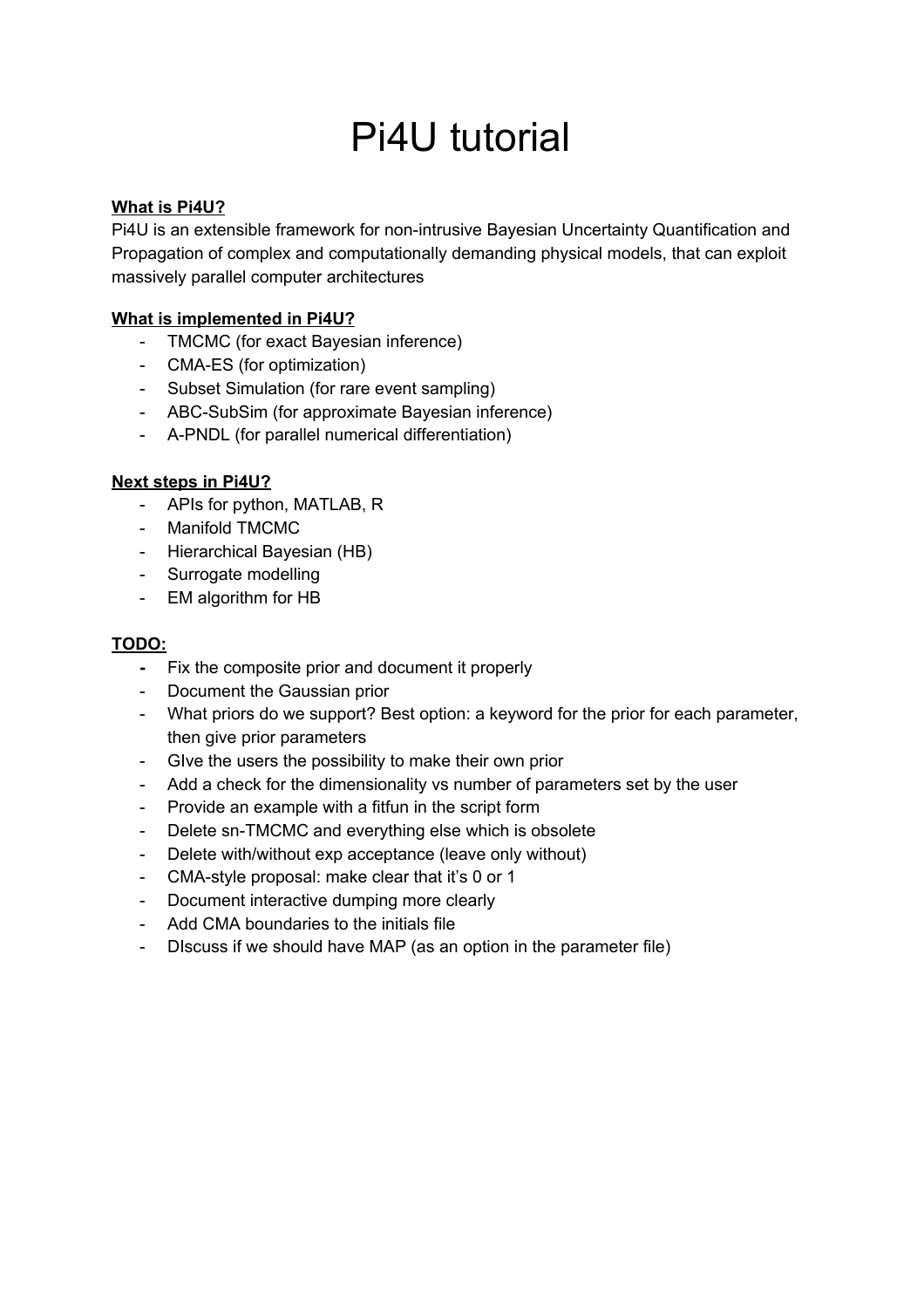# Pi4U tutorial

#### **What is Pi4U?**

Pi4U is an extensible framework for non-intrusive Bayesian Uncertainty Quantification and Propagation of complex and computationally demanding physical models, that can exploit massively parallel computer architectures

#### **What is implemented in Pi4U?**

- TMCMC (for exact Bayesian inference)
- CMA-ES (for optimization)
- Subset Simulation (for rare event sampling)
- ABC-SubSim (for approximate Bayesian inference)
- A-PNDL (for parallel numerical differentiation)

#### **Next steps in Pi4U?**

- APIs for python, MATLAB, R
- Manifold TMCMC
- Hierarchical Bayesian (HB)
- Surrogate modelling
- EM algorithm for HB

#### **TODO:**

- **-** Fix the composite prior and document it properly
- Document the Gaussian prior
- What priors do we support? Best option: a keyword for the prior for each parameter, then give prior parameters
- GIve the users the possibility to make their own prior
- Add a check for the dimensionality vs number of parameters set by the user
- Provide an example with a fitfun in the script form
- Delete sn-TMCMC and everything else which is obsolete
- Delete with/without exp acceptance (leave only without)
- CMA-style proposal: make clear that it's 0 or 1
- Document interactive dumping more clearly
- Add CMA boundaries to the initials file
- DIscuss if we should have MAP (as an option in the parameter file)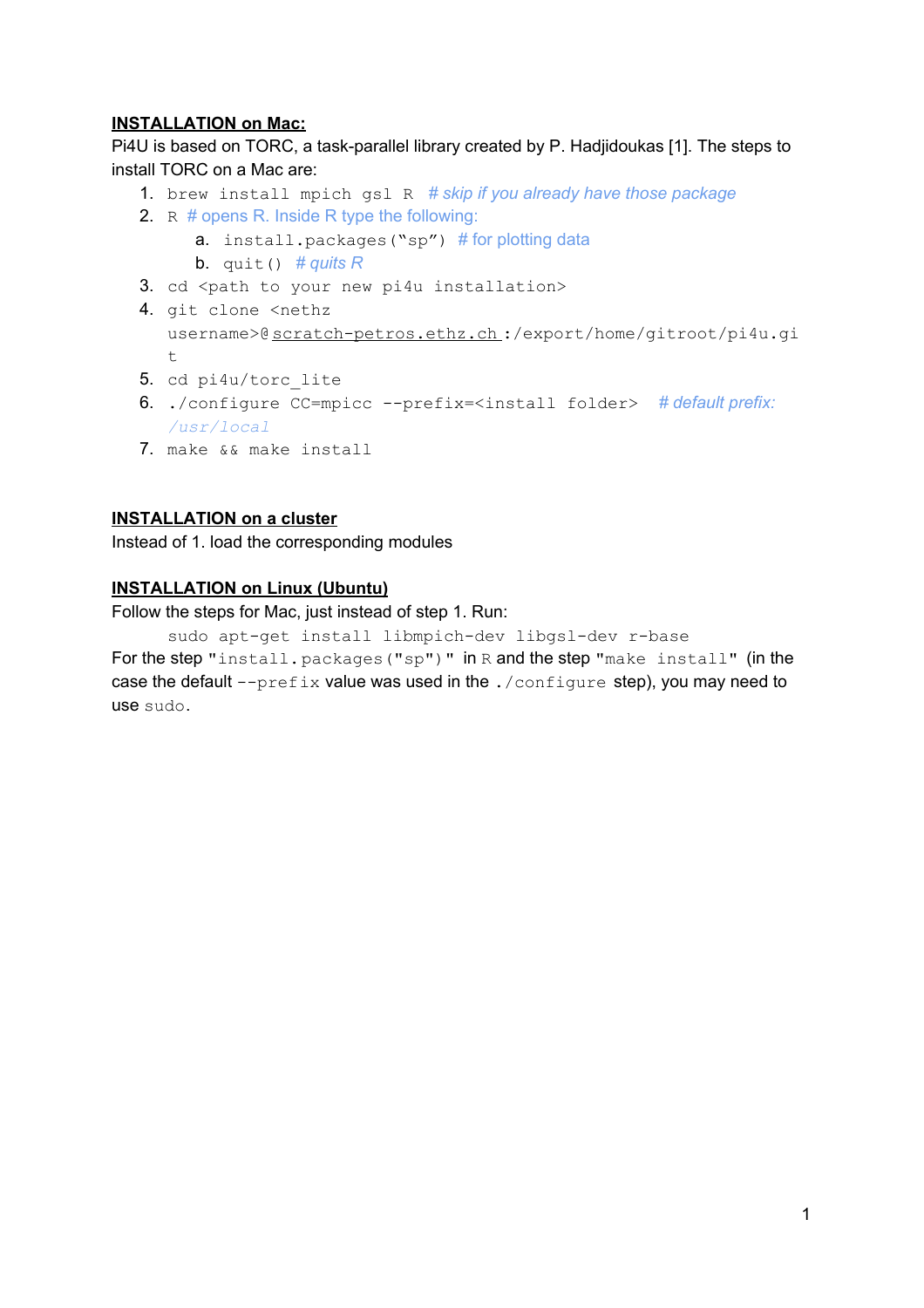#### **INSTALLATION on Mac:**

Pi4U is based on TORC, a task-parallel library created by P. Hadjidoukas [1]. The steps to install TORC on a Mac are:

- 1. brew install mpich gsl R *# skip if you already have those package*
- 2. R # opens R. Inside R type the following:
	- a. install.packages("sp") # for plotting data
	- **b.** quit()  $\#$  *quits R*
- 3. cd <path to your new pi4u installation>
- 4. git clone <nethz username>@[scratch-petros.ethz.ch](http://scratch-petros.ethz.ch/):/export/home/gitroot/pi4u.gi  $\pm$
- 5. cd pi4u/torc lite
- 6. ./configure CC=mpicc --prefix=<install folder> *# default prefix: /usr/local*
- 7. make && make install

#### **INSTALLATION on a cluster**

Instead of 1. load the corresponding modules

#### **INSTALLATION on Linux (Ubuntu)**

Follow the steps for Mac, just instead of step 1. Run:

sudo apt-get install libmpich-dev libgsl-dev r-base For the step "install.packages("sp")" in R and the step "make install" (in the case the default  $-\text{prefix}$  value was used in the  $./\text{configure}$  step), you may need to use sudo.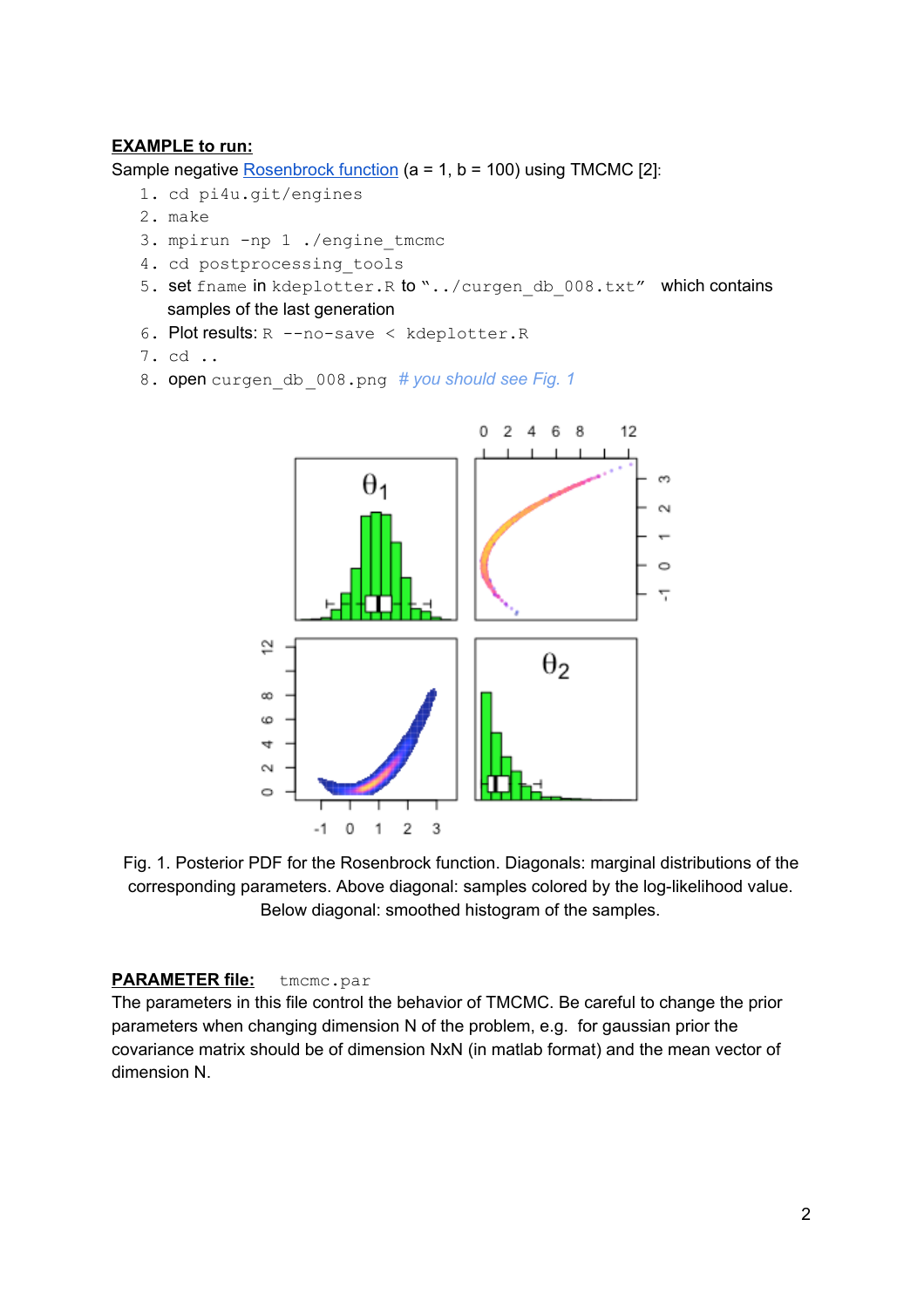#### **EXAMPLE to run:**

Sample negative [Rosenbrock function](https://en.wikipedia.org/wiki/Rosenbrock_function) (a = 1, b = 100) using TMCMC [2]:

- 1. cd pi4u.git/engines
- 2. make
- 3. mpirun -np 1 ./engine\_tmcmc
- 4. cd postprocessing tools
- 5. set fname in kdeplotter. R to "../curgen\_db\_008.txt" which contains samples of the last generation
- 6. Plot results: R --no-save < kdeplotter.R
- 7. cd ..
- 8. open curgen\_db\_008.png *# you should see Fig. 1*



Fig. 1. Posterior PDF for the Rosenbrock function. Diagonals: marginal distributions of the corresponding parameters. Above diagonal: samples colored by the log-likelihood value. Below diagonal: smoothed histogram of the samples.

#### **PARAMETER file:** tmcmc.par

The parameters in this file control the behavior of TMCMC. Be careful to change the prior parameters when changing dimension N of the problem, e.g. for gaussian prior the covariance matrix should be of dimension NxN (in matlab format) and the mean vector of dimension N.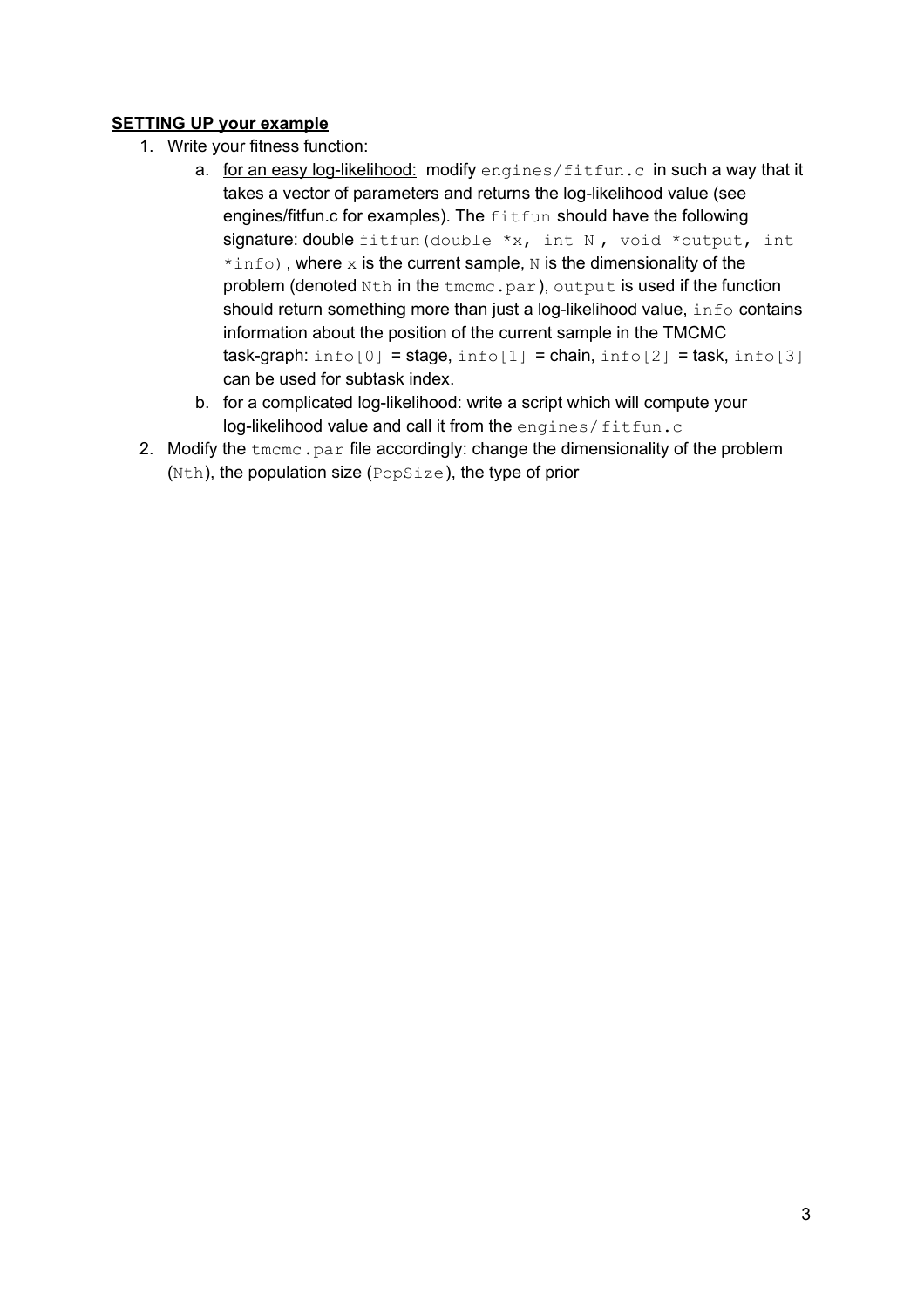#### **SETTING UP your example**

- 1. Write your fitness function:
	- a. for an easy log-likelihood: modify engines/fitfun.c in such a way that it takes a vector of parameters and returns the log-likelihood value (see engines/fitfun.c for examples). The fitfun should have the following signature: double fitfun (double  $x$ , int N, void \*output, int  $*info$ ), where x is the current sample, N is the dimensionality of the problem (denoted Nth in the tmcmc.par), output is used if the function should return something more than just a log-likelihood value, info contains information about the position of the current sample in the TMCMC task-graph:  $info[0] = stage, info[1] = chain, info[2] = task, info[3]$ can be used for subtask index.
	- b. for a complicated log-likelihood: write a script which will compute your log-likelihood value and call it from the engines/fitfun.c
- 2. Modify the  $t_{\text{mcm}}$ ,  $pax$  file accordingly: change the dimensionality of the problem (Nth), the population size (PopSize), the type of prior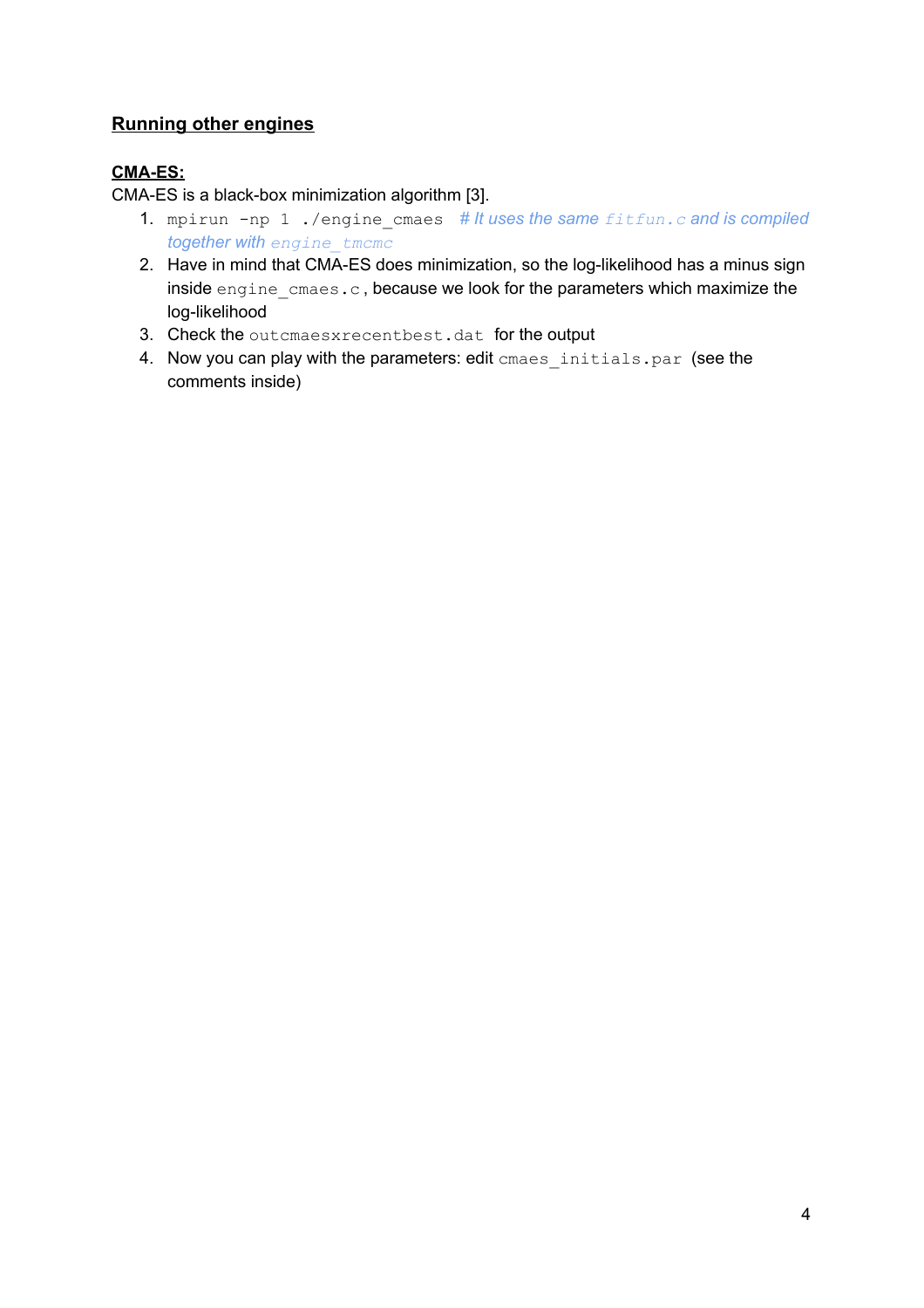## **Running other engines**

### **CMA-ES:**

CMA-ES is a black-box minimization algorithm [3].

- 1. mpirun -np 1 ./engine\_cmaes *# It uses the same fitfun.c and is compiled together with engine\_tmcmc*
- 2. Have in mind that CMA-ES does minimization, so the log-likelihood has a minus sign inside engine cmaes.c, because we look for the parameters which maximize the log-likelihood
- 3. Check the outcmaesxrecentbest.dat for the output
- 4. Now you can play with the parameters: edit cmaes initials.par (see the comments inside)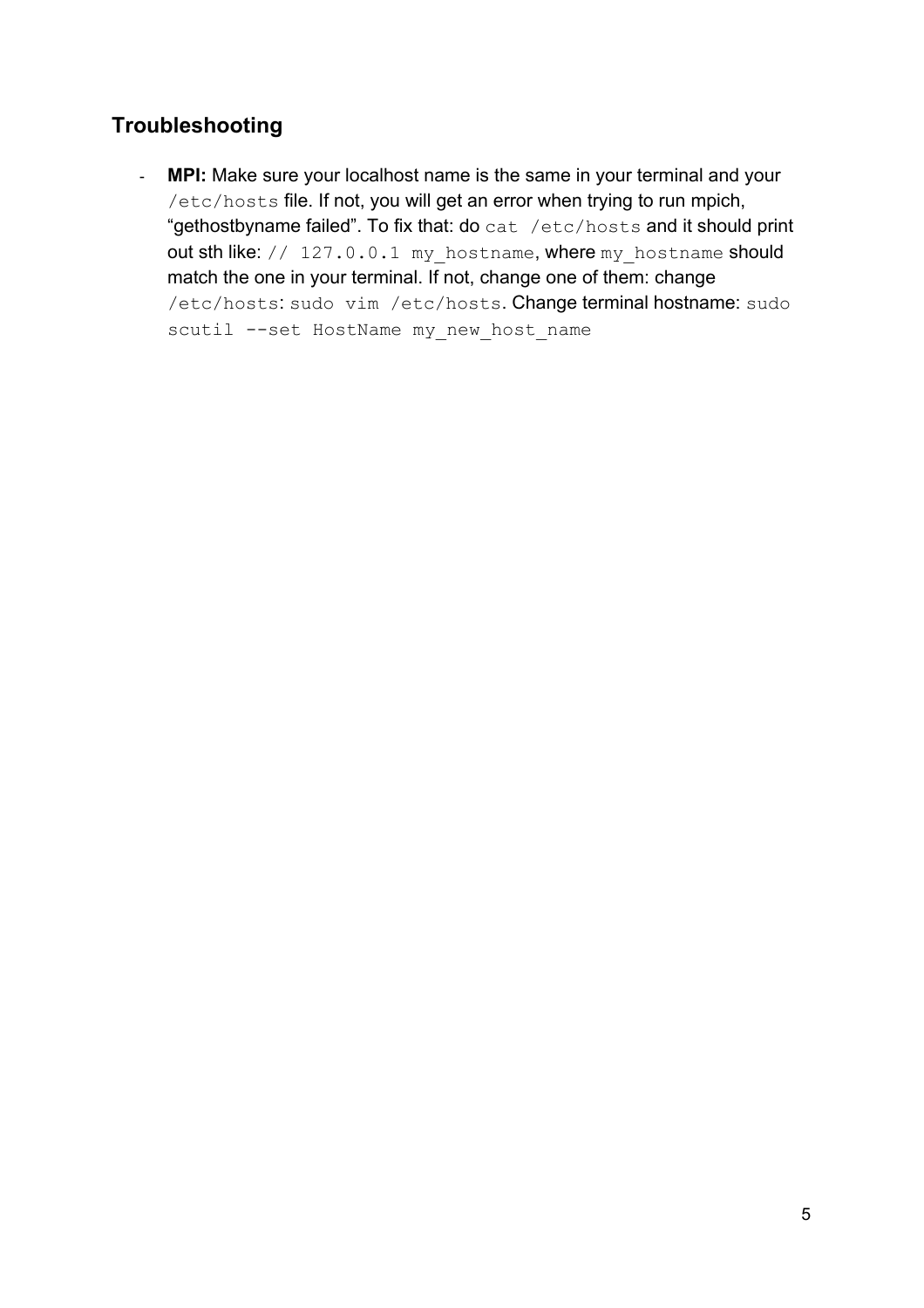# **Troubleshooting**

- **MPI:** Make sure your localhost name is the same in your terminal and your /etc/hosts file. If not, you will get an error when trying to run mpich, "gethostbyname failed". To fix that: do cat /etc/hosts and it should print out sth like: // 127.0.0.1 my hostname, where my hostname should match the one in your terminal. If not, change one of them: change /etc/hosts: sudo vim /etc/hosts. Change terminal hostname: sudo scutil --set HostName my new host name